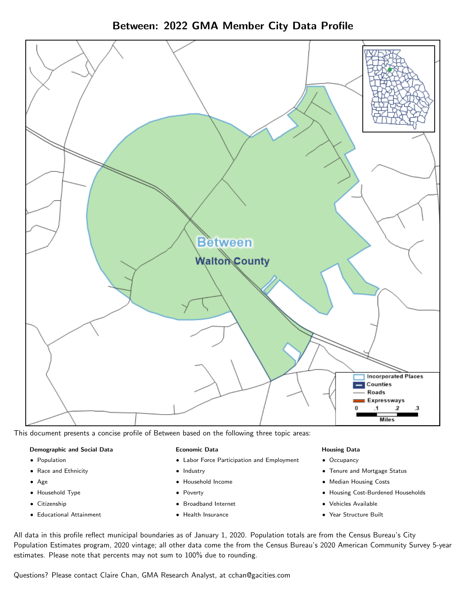Between: 2022 GMA Member City Data Profile



This document presents a concise profile of Between based on the following three topic areas:

## Demographic and Social Data

- **•** Population
- Race and Ethnicity
- Age
- Household Type
- **Citizenship**
- Educational Attainment

## Economic Data

- Labor Force Participation and Employment
- Industry
- Household Income
- Poverty
- Broadband Internet
- Health Insurance

## Housing Data

- Occupancy
- Tenure and Mortgage Status
- Median Housing Costs
- Housing Cost-Burdened Households
- Vehicles Available
- Year Structure Built

All data in this profile reflect municipal boundaries as of January 1, 2020. Population totals are from the Census Bureau's City Population Estimates program, 2020 vintage; all other data come the from the Census Bureau's 2020 American Community Survey 5-year estimates. Please note that percents may not sum to 100% due to rounding.

Questions? Please contact Claire Chan, GMA Research Analyst, at [cchan@gacities.com.](mailto:cchan@gacities.com)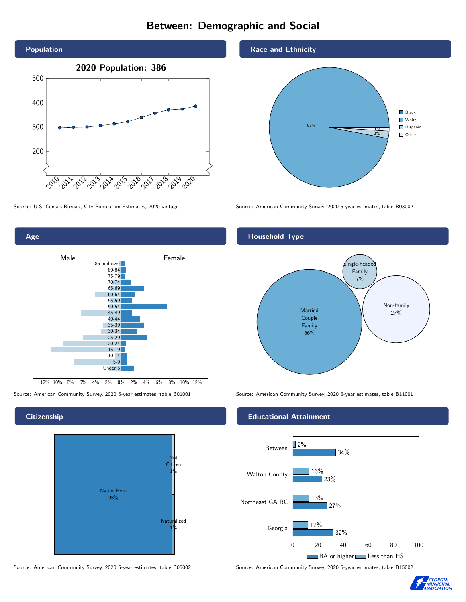# Between: Demographic and Social





## **Citizenship**



Source: American Community Survey, 2020 5-year estimates, table B05002 Source: American Community Survey, 2020 5-year estimates, table B15002

## Race and Ethnicity



Source: U.S. Census Bureau, City Population Estimates, 2020 vintage Source: American Community Survey, 2020 5-year estimates, table B03002

# Household Type



Source: American Community Survey, 2020 5-year estimates, table B01001 Source: American Community Survey, 2020 5-year estimates, table B11001

## Educational Attainment



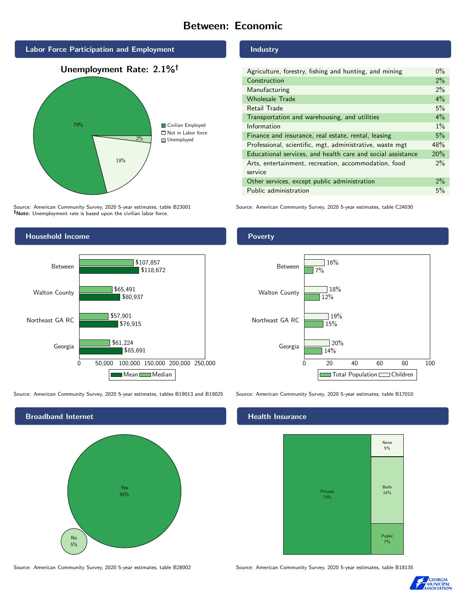# Between: Economic



Source: American Community Survey, 2020 5-year estimates, table B23001 Note: Unemployment rate is based upon the civilian labor force.





Source: American Community Survey, 2020 5-year estimates, tables B19013 and B19025 Source: American Community Survey, 2020 5-year estimates, table B17010



Source: American Community Survey, 2020 5-year estimates, table B28002 Source: American Community Survey, 2020 5-year estimates, table B18135

#### Industry

| Agriculture, forestry, fishing and hunting, and mining      | $0\%$ |
|-------------------------------------------------------------|-------|
| Construction                                                | 2%    |
| Manufacturing                                               | 2%    |
| <b>Wholesale Trade</b>                                      | 4%    |
| Retail Trade                                                | 5%    |
| Transportation and warehousing, and utilities               | 4%    |
| Information                                                 | $1\%$ |
| Finance and insurance, real estate, rental, leasing         | 5%    |
| Professional, scientific, mgt, administrative, waste mgt    | 48%   |
| Educational services, and health care and social assistance | 20%   |
| Arts, entertainment, recreation, accommodation, food        | $2\%$ |
| service                                                     |       |
| Other services, except public administration                | $2\%$ |
| Public administration                                       | 5%    |

Source: American Community Survey, 2020 5-year estimates, table C24030

## Poverty



# **Health Insurance**